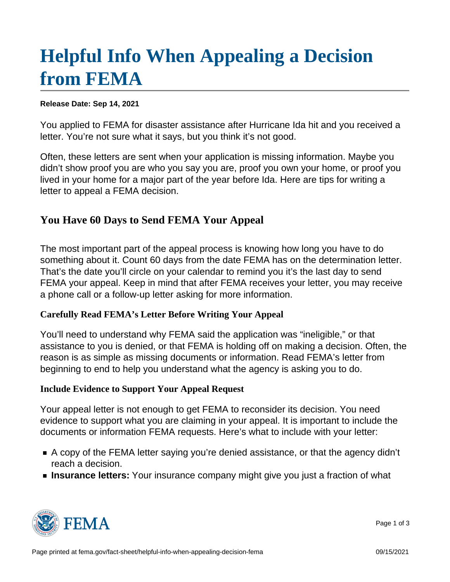## [Helpful Info When Appealing a Decision](https://www.fema.gov/fact-sheet/helpful-info-when-appealing-decision-fema) [from FEMA](https://www.fema.gov/fact-sheet/helpful-info-when-appealing-decision-fema)

Release Date: Sep 14, 2021

You applied to FEMA for disaster assistance after Hurricane Ida hit and you received a letter. You're not sure what it says, but you think it's not good.

Often, these letters are sent when your application is missing information. Maybe you didn't show proof you are who you say you are, proof you own your home, or proof you lived in your home for a major part of the year before Ida. Here are tips for writing a letter to appeal a FEMA decision.

## You Have 60 Days to Send FEMA Your Appeal

The most important part of the appeal process is knowing how long you have to do something about it. Count 60 days from the date FEMA has on the determination letter. That's the date you'll circle on your calendar to remind you it's the last day to send FEMA your appeal. Keep in mind that after FEMA receives your letter, you may receive a phone call or a follow-up letter asking for more information.

Carefully Read FEMA's Letter Before Writing Your Appeal

You'll need to understand why FEMA said the application was "ineligible," or that assistance to you is denied, or that FEMA is holding off on making a decision. Often, the reason is as simple as missing documents or information. Read FEMA's letter from beginning to end to help you understand what the agency is asking you to do.

Include Evidence to Support Your Appeal Request

Your appeal letter is not enough to get FEMA to reconsider its decision. You need evidence to support what you are claiming in your appeal. It is important to include the documents or information FEMA requests. Here's what to include with your letter:

- A copy of the FEMA letter saying you're denied assistance, or that the agency didn't reach a decision.
- Insurance letters: Your insurance company might give you just a fraction of what



Page 1 of 3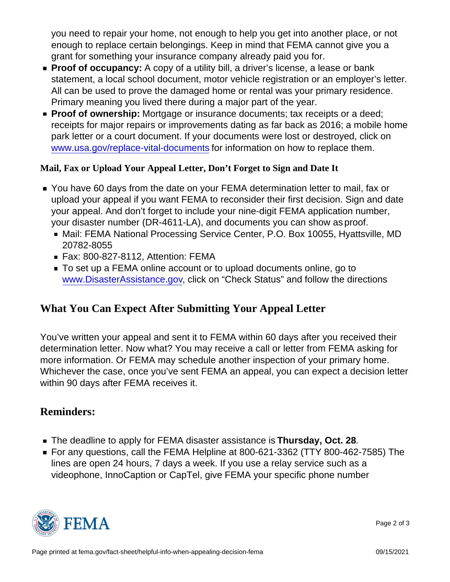you need to repair your home, not enough to help you get into another place, or not enough to replace certain belongings. Keep in mind that FEMA cannot give you a grant for something your insurance company already paid you for.

- Proof of occupancy: A copy of a utility bill, a driver's license, a lease or bank statement, a local school document, motor vehicle registration or an employer's letter. All can be used to prove the damaged home or rental was your primary residence. Primary meaning you lived there during a major part of the year.
- **Proof of ownership:** Mortgage or insurance documents; tax receipts or a deed; receipts for major repairs or improvements dating as far back as 2016; a mobile home park letter or a court document. If your documents were lost or destroyed, click on [www.usa.gov/replace-vital-documents](http://www.usa.gov/replace-vital-documents) for information on how to replace them.

Mail, Fax or Upload Your Appeal Letter, Don't Forget to Sign and Date It

- You have 60 days from the date on your FEMA determination letter to mail, fax or upload your appeal if you want FEMA to reconsider their first decision. Sign and date your appeal. And don't forget to include your nine-digit FEMA application number, your disaster number (DR-4611-LA), and documents you can show as proof.
	- Mail: FEMA National Processing Service Center, P.O. Box 10055, Hyattsville, MD 20782-8055
	- Fax: 800-827-8112, Attention: FEMA
	- To set up a FEMA online account or to upload documents online, go to [www.DisasterAssistance.gov](http://www.DisasterAssistance.gov), click on "Check Status" and follow the directions

## What You Can Expect After Submitting Your Appeal Letter

You've written your appeal and sent it to FEMA within 60 days after you received their determination letter. Now what? You may receive a call or letter from FEMA asking for more information. Or FEMA may schedule another inspection of your primary home. Whichever the case, once you've sent FEMA an appeal, you can expect a decision letter within 90 days after FEMA receives it.

## Reminders:

- The deadline to apply for FEMA disaster assistance is Thursday, Oct. 28.
- For any questions, call the FEMA Helpline at 800-621-3362 (TTY 800-462-7585) The lines are open 24 hours, 7 days a week. If you use a relay service such as a videophone, InnoCaption or CapTel, give FEMA your specific phone number



Page 2 of 3